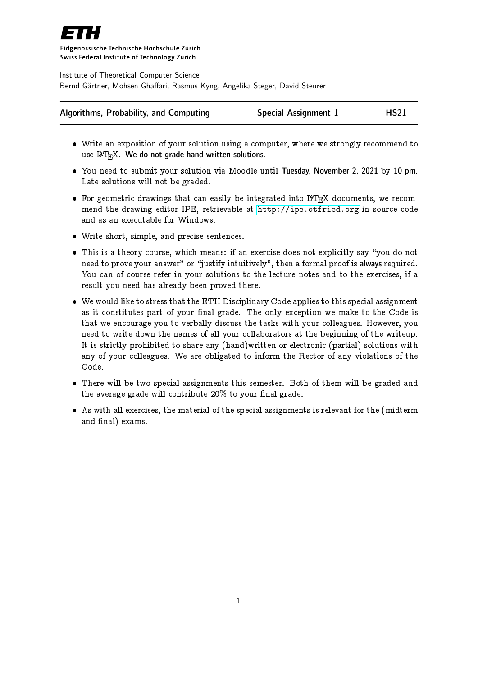

Eidgenössische Technische Hochschule Zürich Swiss Federal Institute of Technology Zurich

Institute of Theoretical Computer Science Bernd Gärtner, Mohsen Ghaffari, Rasmus Kyng, Angelika Steger, David Steurer

| Algorithms, Probability, and Computing | <b>Special Assignment 1</b> | <b>HS21</b> |
|----------------------------------------|-----------------------------|-------------|
|----------------------------------------|-----------------------------|-------------|

- Write an exposition of your solution using a computer, where we strongly recommend to use  $\text{LFT}_{\text{F}}X$ . We do not grade hand-written solutions.
- You need to submit your solution via Moodle until Tuesday, November 2, 2021 by 10 pm. Late solutions will not be graded.
- $\bullet$  For geometric drawings that can easily be integrated into LAT<sub>E</sub>X documents, we recommend the drawing editor IPE, retrievable at <http://ipe.otfried.org> in source code and as an executable for Windows.
- Write short, simple, and precise sentences.
- This is a theory course, which means: if an exercise does not explicitly say \you do not need to prove your answer" or "justify intuitively", then a formal proof is always required. You can of course refer in your solutions to the lecture notes and to the exercises, if a result you need has already been proved there.
- We would like to stress that the ETH Disciplinary Code applies to this special assignment as it constitutes part of your final grade. The only exception we make to the Code is that we encourage you to verbally discuss the tasks with your colleagues. However, you need to write down the names of all your collaborators at the beginning of the writeup. It is strictly prohibited to share any (hand)written or electronic (partial) solutions with any of your colleagues. We are obligated to inform the Rector of any violations of the Code.
- There will be two special assignments this semester. Both of them will be graded and the average grade will contribute  $20\%$  to your final grade.
- As with all exercises, the material of the special assignments is relevant for the (midterm and final) exams.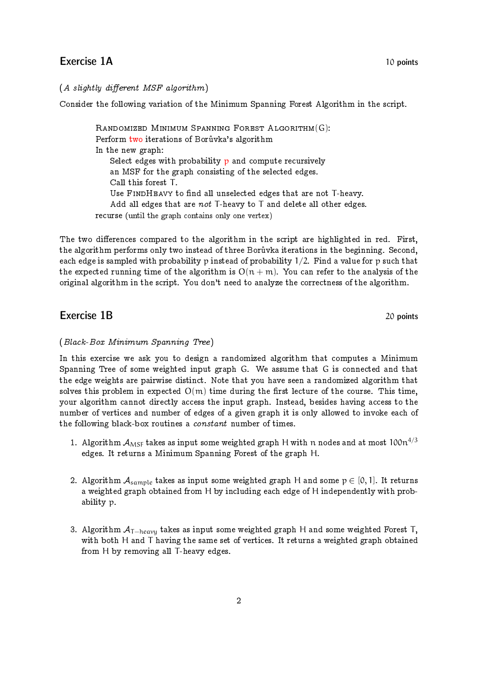# Exercise 1A 10 points

### $(A$  slightly different MSF algorithm)

Consider the following variation of the Minimum Spanning Forest Algorithm in the script.

RANDOMIZED MINIMUM SPANNING FOREST ALGORITHM(G): Perform two iterations of Borůvka's algorithm In the new graph: Select edges with probability  $p$  and compute recursively an MSF for the graph consisting of the selected edges. Call this forest T. Use FINDHEAVY to find all unselected edges that are not T-heavy. Add all edges that are not T-heavy to T and delete all other edges. recurse (until the graph contains only one vertex)

The two differences compared to the algorithm in the script are highlighted in red. First, the algorithm performs only two instead of three Boruvka iterations in the beginning. Second, each edge is sampled with probability p instead of probability  $1/2$ . Find a value for p such that the expected running time of the algorithm is  $O(n + m)$ . You can refer to the analysis of the original algorithm in the script. You don't need to analyze the correctness of the algorithm.

## Exercise 1B 20 points

### (Black-Box Minimum Spanning Tree)

In this exercise we ask you to design a randomized algorithm that computes a Minimum Spanning Tree of some weighted input graph G. We assume that G is connected and that the edge weights are pairwise distinct. Note that you have seen a randomized algorithm that solves this problem in expected  $O(m)$  time during the first lecture of the course. This time, your algorithm cannot directly access the input graph. Instead, besides having access to the number of vertices and number of edges of a given graph it is only allowed to invoke each of the following black-box routines a constant number of times.

- 1. Algorithm  $A_{MSF}$  takes as input some weighted graph H with n nodes and at most  $100n^{4/3}$ edges. It returns a Minimum Spanning Forest of the graph H.
- 2. Algorithm  $A_{\text{sample}}$  takes as input some weighted graph H and some  $p \in [0, 1]$ . It returns a weighted graph obtained from H by including each edge of H independently with probability p.
- 3. Algorithm  $A_{\text{T}-heavy}$  takes as input some weighted graph H and some weighted Forest T, with both H and T having the same set of vertices. It returns a weighted graph obtained from H by removing all T-heavy edges.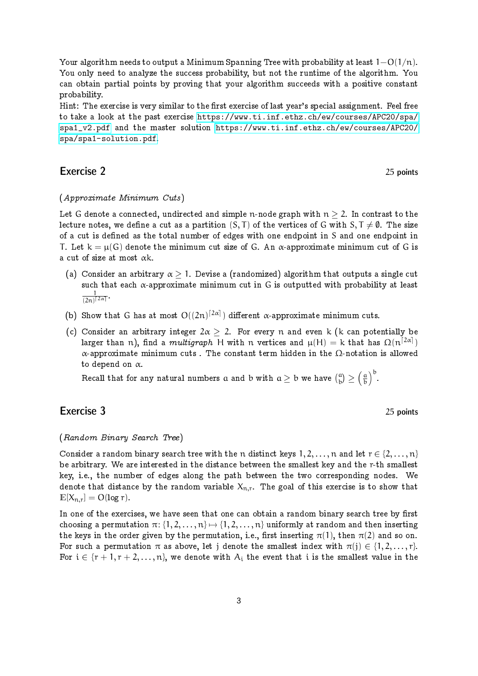Your algorithm needs to output a Minimum Spanning Tree with probability at least  $1-O(1/n)$ . You only need to analyze the success probability, but not the runtime of the algorithm. You can obtain partial points by proving that your algorithm succeeds with a positive constant probability.

Hint: The exercise is very similar to the first exercise of last year's special assignment. Feel free to take a look at the past exercise [https://www.ti.inf.ethz.ch/ew/courses/APC20/spa/](https://www.ti.inf.ethz.ch/ew/courses/APC20/spa/spa1_v2.pdf) [spa1\\_v2.pdf](https://www.ti.inf.ethz.ch/ew/courses/APC20/spa/spa1_v2.pdf) and the master solution [https://www.ti.inf.ethz.ch/ew/courses/APC20/](https://www.ti.inf.ethz.ch/ew/courses/APC20/spa/spa1-solution.pdf) [spa/spa1-solution.pdf](https://www.ti.inf.ethz.ch/ew/courses/APC20/spa/spa1-solution.pdf).

# Exercise 2 25 points

#### (Approximate Minimum Cuts)

Let G denote a connected, undirected and simple n-node graph with  $n \geq 2$ . In contrast to the lecture notes, we define a cut as a partition  $(S, T)$  of the vertices of G with  $S, T \neq \emptyset$ . The size of a cut is defined as the total number of edges with one endpoint in S and one endpoint in T. Let  $k = \mu(G)$  denote the minimum cut size of G. An  $\alpha$ -approximate minimum cut of G is a cut of size at most  $\alpha$ k.

- (a) Consider an arbitrary  $\alpha > 1$ . Devise a (randomized) algorithm that outputs a single cut such that each  $\alpha$ -approximate minimum cut in G is outputted with probability at least 1  $\frac{1}{(2n)^{\lceil 2\alpha \rceil}}$ .
- (b) Show that G has at most  $O((2n)^{[2\alpha]})$  different  $\alpha$ -approximate minimum cuts.
- (c) Consider an arbitrary integer  $2\alpha > 2$ . For every n and even k (k can potentially be larger than  $\mathfrak n$ ), find a  $\mathit{multigraph}$  H with  $\mathfrak n$  vertices and  $\mu(\mathsf H)=\mathsf k$  that has  $\Omega(\mathfrak n^{[2\alpha]})$ α-approximate minimum cuts . The constant term hidden in the Ω-notation is allowed to depend on  $\alpha$ .

Recall that for any natural numbers  $\alpha$  and  $\rm b$  with  $\alpha \geq \rm b$  we have  $\binom{\alpha}{\rm b} \geq \left(\frac{\alpha}{\rm b}\right)$  $\left(\frac{a}{b}\right)^b$ .

# Exercise 3 25 points

### (Random Binary Search Tree)

Consider a random binary search tree with the n distinct keys  $1, 2, \ldots, n$  and let  $r \in \{2, \ldots, n\}$ be arbitrary. We are interested in the distance between the smallest key and the r-th smallest key, i.e., the number of edges along the path between the two corresponding nodes. We denote that distance by the random variable  $X_{n,r}$ . The goal of this exercise is to show that  $\mathbb{E}[X_{n,r}] = O(\log r).$ 

In one of the exercises, we have seen that one can obtain a random binary search tree by first choosing a permutation  $\pi: \{1, 2, \ldots, n\} \mapsto \{1, 2, \ldots, n\}$  uniformly at random and then inserting the keys in the order given by the permutation, i.e., first inserting  $\pi(1)$ , then  $\pi(2)$  and so on. For such a permutation  $\pi$  as above, let j denote the smallest index with  $\pi(j) \in \{1, 2, ..., r\}$ . For  $i \in \{r+1, r+2, \ldots, n\}$ , we denote with  $A_i$  the event that i is the smallest value in the